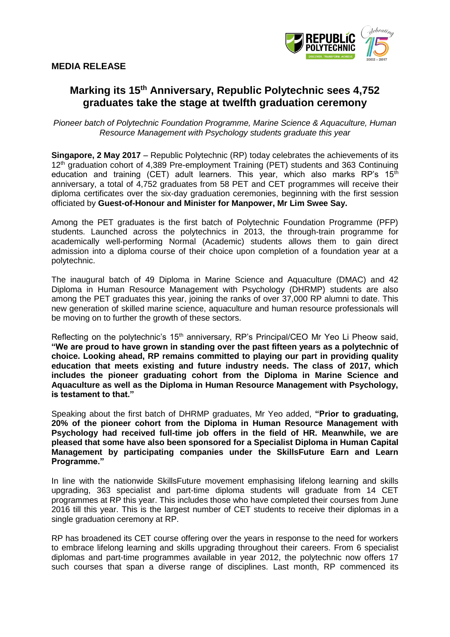

# **Marking its 15th Anniversary, Republic Polytechnic sees 4,752 graduates take the stage at twelfth graduation ceremony**

*Pioneer batch of Polytechnic Foundation Programme, Marine Science & Aquaculture, Human Resource Management with Psychology students graduate this year*

**Singapore, 2 May 2017** – Republic Polytechnic (RP) today celebrates the achievements of its 12<sup>th</sup> graduation cohort of 4,389 Pre-employment Training (PET) students and 363 Continuing education and training (CET) adult learners. This year, which also marks RP's  $15<sup>th</sup>$ anniversary, a total of 4,752 graduates from 58 PET and CET programmes will receive their diploma certificates over the six-day graduation ceremonies, beginning with the first session officiated by **Guest-of-Honour and Minister for Manpower, Mr Lim Swee Say.**

Among the PET graduates is the first batch of Polytechnic Foundation Programme (PFP) students. Launched across the polytechnics in 2013, the through-train programme for academically well-performing Normal (Academic) students allows them to gain direct admission into a diploma course of their choice upon completion of a foundation year at a polytechnic.

The inaugural batch of 49 Diploma in Marine Science and Aquaculture (DMAC) and 42 Diploma in Human Resource Management with Psychology (DHRMP) students are also among the PET graduates this year, joining the ranks of over 37,000 RP alumni to date. This new generation of skilled marine science, aquaculture and human resource professionals will be moving on to further the growth of these sectors.

Reflecting on the polytechnic's 15<sup>th</sup> anniversary, RP's Principal/CEO Mr Yeo Li Pheow said, **"We are proud to have grown in standing over the past fifteen years as a polytechnic of choice. Looking ahead, RP remains committed to playing our part in providing quality education that meets existing and future industry needs. The class of 2017, which includes the pioneer graduating cohort from the Diploma in Marine Science and Aquaculture as well as the Diploma in Human Resource Management with Psychology, is testament to that."**

Speaking about the first batch of DHRMP graduates, Mr Yeo added, **"Prior to graduating, 20% of the pioneer cohort from the Diploma in Human Resource Management with Psychology had received full-time job offers in the field of HR. Meanwhile, we are pleased that some have also been sponsored for a Specialist Diploma in Human Capital Management by participating companies under the SkillsFuture Earn and Learn Programme."**

In line with the nationwide SkillsFuture movement emphasising lifelong learning and skills upgrading, 363 specialist and part-time diploma students will graduate from 14 CET programmes at RP this year. This includes those who have completed their courses from June 2016 till this year. This is the largest number of CET students to receive their diplomas in a single graduation ceremony at RP.

RP has broadened its CET course offering over the years in response to the need for workers to embrace lifelong learning and skills upgrading throughout their careers. From 6 specialist diplomas and part-time programmes available in year 2012, the polytechnic now offers 17 such courses that span a diverse range of disciplines. Last month, RP commenced its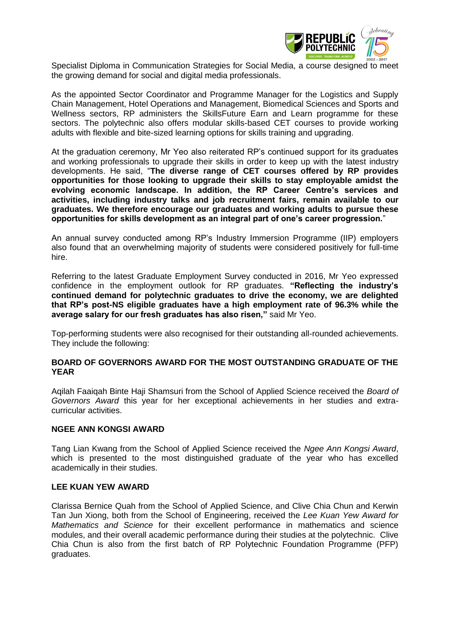

Specialist Diploma in Communication Strategies for Social Media, a course designed to meet the growing demand for social and digital media professionals.

As the appointed Sector Coordinator and Programme Manager for the Logistics and Supply Chain Management, Hotel Operations and Management, Biomedical Sciences and Sports and Wellness sectors, RP administers the SkillsFuture Earn and Learn programme for these sectors. The polytechnic also offers modular skills-based CET courses to provide working adults with flexible and bite-sized learning options for skills training and upgrading.

At the graduation ceremony, Mr Yeo also reiterated RP's continued support for its graduates and working professionals to upgrade their skills in order to keep up with the latest industry developments. He said, "**The diverse range of CET courses offered by RP provides opportunities for those looking to upgrade their skills to stay employable amidst the evolving economic landscape. In addition, the RP Career Centre's services and activities, including industry talks and job recruitment fairs, remain available to our graduates. We therefore encourage our graduates and working adults to pursue these opportunities for skills development as an integral part of one's career progression.**"

An annual survey conducted among RP's Industry Immersion Programme (IIP) employers also found that an overwhelming majority of students were considered positively for full-time hire.

Referring to the latest Graduate Employment Survey conducted in 2016, Mr Yeo expressed confidence in the employment outlook for RP graduates. **"Reflecting the industry's continued demand for polytechnic graduates to drive the economy, we are delighted that RP's post-NS eligible graduates have a high employment rate of 96.3% while the average salary for our fresh graduates has also risen,"** said Mr Yeo.

Top-performing students were also recognised for their outstanding all-rounded achievements. They include the following:

### **BOARD OF GOVERNORS AWARD FOR THE MOST OUTSTANDING GRADUATE OF THE YEAR**

Aqilah Faaiqah Binte Haji Shamsuri from the School of Applied Science received the *Board of Governors Award* this year for her exceptional achievements in her studies and extracurricular activities.

#### **NGEE ANN KONGSI AWARD**

Tang Lian Kwang from the School of Applied Science received the *Ngee Ann Kongsi Award*, which is presented to the most distinguished graduate of the year who has excelled academically in their studies.

#### **LEE KUAN YEW AWARD**

Clarissa Bernice Quah from the School of Applied Science, and Clive Chia Chun and Kerwin Tan Jun Xiong, both from the School of Engineering, received the *Lee Kuan Yew Award for Mathematics and Science* for their excellent performance in mathematics and science modules, and their overall academic performance during their studies at the polytechnic. Clive Chia Chun is also from the first batch of RP Polytechnic Foundation Programme (PFP) graduates.